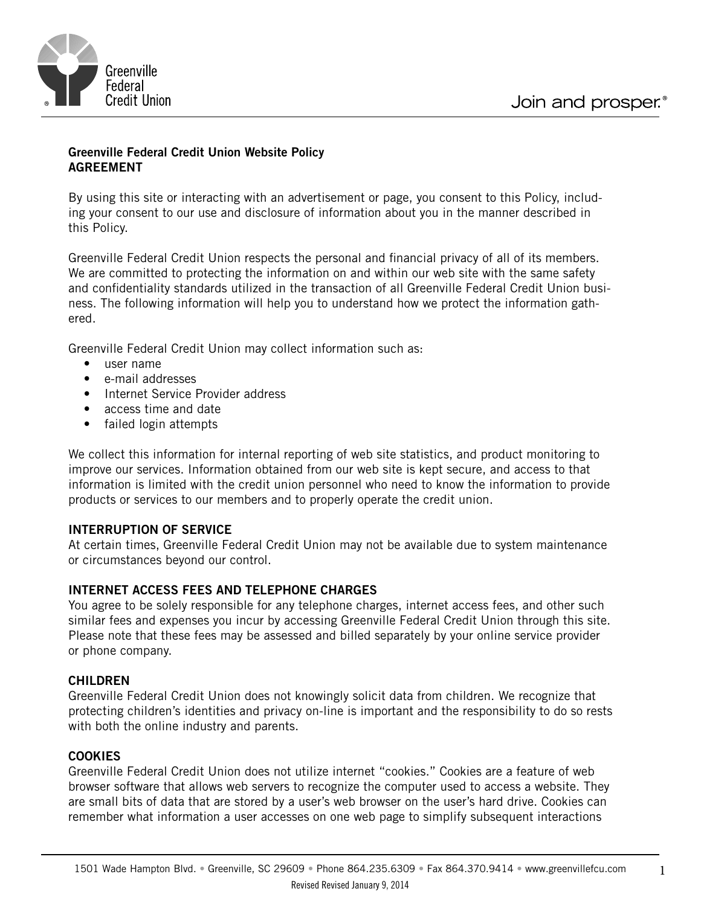



## **Greenville Federal Credit Union Website Policy AGREEMENT**

By using this site or interacting with an advertisement or page, you consent to this Policy, including your consent to our use and disclosure of information about you in the manner described in this Policy.

Greenville Federal Credit Union respects the personal and financial privacy of all of its members. We are committed to protecting the information on and within our web site with the same safety and confidentiality standards utilized in the transaction of all Greenville Federal Credit Union business. The following information will help you to understand how we protect the information gathered.

Greenville Federal Credit Union may collect information such as:

- user name
- • e-mail addresses
- Internet Service Provider address
- access time and date
- failed login attempts

We collect this information for internal reporting of web site statistics, and product monitoring to improve our services. Information obtained from our web site is kept secure, and access to that information is limited with the credit union personnel who need to know the information to provide products or services to our members and to properly operate the credit union.

### **INTERRUPTION OF SERVICE**

At certain times, Greenville Federal Credit Union may not be available due to system maintenance or circumstances beyond our control.

### **INTERNET ACCESS FEES AND TELEPHONE CHARGES**

You agree to be solely responsible for any telephone charges, internet access fees, and other such similar fees and expenses you incur by accessing Greenville Federal Credit Union through this site. Please note that these fees may be assessed and billed separately by your online service provider or phone company.

#### **CHILDREN**

Greenville Federal Credit Union does not knowingly solicit data from children. We recognize that protecting children's identities and privacy on-line is important and the responsibility to do so rests with both the online industry and parents.

### **COOKIES**

Greenville Federal Credit Union does not utilize internet "cookies." Cookies are a feature of web browser software that allows web servers to recognize the computer used to access a website. They are small bits of data that are stored by a user's web browser on the user's hard drive. Cookies can remember what information a user accesses on one web page to simplify subsequent interactions

1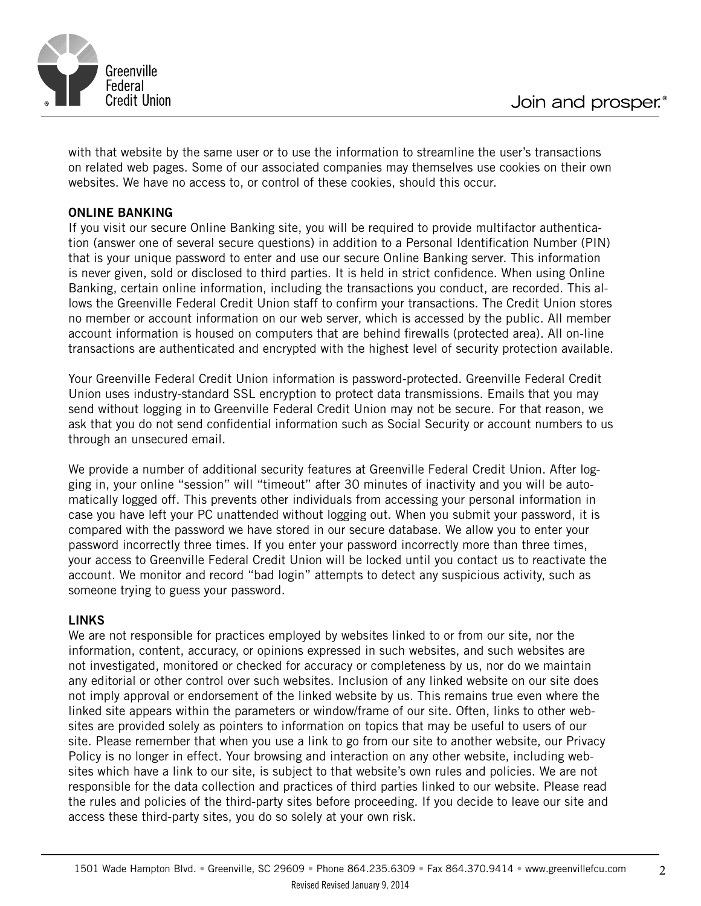

with that website by the same user or to use the information to streamline the user's transactions on related web pages. Some of our associated companies may themselves use cookies on their own websites. We have no access to, or control of these cookies, should this occur.

## **ONLINE BANKING**

If you visit our secure Online Banking site, you will be required to provide multifactor authentication (answer one of several secure questions) in addition to a Personal Identification Number (PIN) that is your unique password to enter and use our secure Online Banking server. This information is never given, sold or disclosed to third parties. It is held in strict confidence. When using Online Banking, certain online information, including the transactions you conduct, are recorded. This allows the Greenville Federal Credit Union staff to confirm your transactions. The Credit Union stores no member or account information on our web server, which is accessed by the public. All member account information is housed on computers that are behind firewalls (protected area). All on-line transactions are authenticated and encrypted with the highest level of security protection available.

Your Greenville Federal Credit Union information is password-protected. Greenville Federal Credit Union uses industry-standard SSL encryption to protect data transmissions. Emails that you may send without logging in to Greenville Federal Credit Union may not be secure. For that reason, we ask that you do not send confidential information such as Social Security or account numbers to us through an unsecured email.

We provide a number of additional security features at Greenville Federal Credit Union. After logging in, your online "session" will "timeout" after 30 minutes of inactivity and you will be automatically logged off. This prevents other individuals from accessing your personal information in case you have left your PC unattended without logging out. When you submit your password, it is compared with the password we have stored in our secure database. We allow you to enter your password incorrectly three times. If you enter your password incorrectly more than three times, your access to Greenville Federal Credit Union will be locked until you contact us to reactivate the account. We monitor and record "bad login" attempts to detect any suspicious activity, such as someone trying to guess your password.

### **LINKS**

We are not responsible for practices employed by websites linked to or from our site, nor the information, content, accuracy, or opinions expressed in such websites, and such websites are not investigated, monitored or checked for accuracy or completeness by us, nor do we maintain any editorial or other control over such websites. Inclusion of any linked website on our site does not imply approval or endorsement of the linked website by us. This remains true even where the linked site appears within the parameters or window/frame of our site. Often, links to other websites are provided solely as pointers to information on topics that may be useful to users of our site. Please remember that when you use a link to go from our site to another website, our Privacy Policy is no longer in effect. Your browsing and interaction on any other website, including websites which have a link to our site, is subject to that website's own rules and policies. We are not responsible for the data collection and practices of third parties linked to our website. Please read the rules and policies of the third-party sites before proceeding. If you decide to leave our site and access these third-party sites, you do so solely at your own risk.